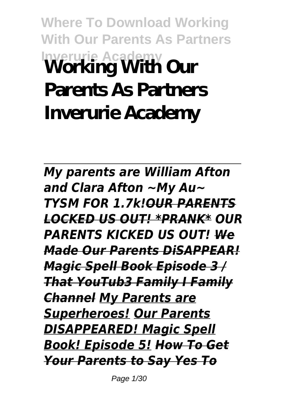## **Where To Download Working With Our Parents As Partners Inverurie Academy Working With Our Parents As Partners Inverurie Academy**

*My parents are William Afton and Clara Afton ~My Au~ TYSM FOR 1.7k!OUR PARENTS LOCKED US OUT! \*PRANK\* OUR PARENTS KICKED US OUT! We Made Our Parents DiSAPPEAR! Magic Spell Book Episode 3 / That YouTub3 Family I Family Channel My Parents are Superheroes! Our Parents DISAPPEARED! Magic Spell Book! Episode 5! How To Get Your Parents to Say Yes To*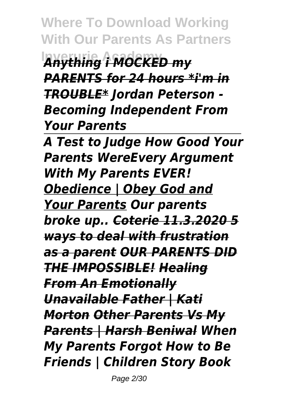**Where To Download Working With Our Parents As Partners Inverurie Academy** *Anything i MOCKED my PARENTS for 24 hours \*i'm in TROUBLE\* Jordan Peterson - Becoming Independent From Your Parents*

*A Test to Judge How Good Your Parents WereEvery Argument With My Parents EVER! Obedience | Obey God and Your Parents Our parents broke up.. Coterie 11.3.2020 5 ways to deal with frustration as a parent OUR PARENTS DID THE IMPOSSIBLE! Healing From An Emotionally Unavailable Father | Kati Morton Other Parents Vs My Parents | Harsh Beniwal When My Parents Forgot How to Be Friends | Children Story Book*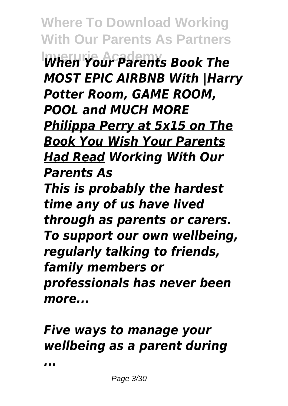**Where To Download Working With Our Parents As Partners Inverurie Academy** *When Your Parents Book The MOST EPIC AIRBNB With |Harry Potter Room, GAME ROOM, POOL and MUCH MORE Philippa Perry at 5x15 on The Book You Wish Your Parents Had Read Working With Our Parents As This is probably the hardest time any of us have lived through as parents or carers. To support our own wellbeing, regularly talking to friends, family members or professionals has never been more...*

## *Five ways to manage your wellbeing as a parent during*

*...*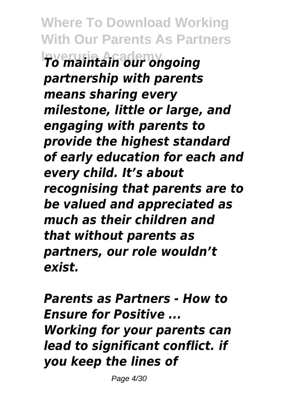**Where To Download Working With Our Parents As Partners Inverurie Academy** *To maintain our ongoing partnership with parents means sharing every milestone, little or large, and engaging with parents to provide the highest standard of early education for each and every child. It's about recognising that parents are to be valued and appreciated as much as their children and that without parents as partners, our role wouldn't exist.*

*Parents as Partners - How to Ensure for Positive ... Working for your parents can lead to significant conflict. if you keep the lines of*

Page 4/30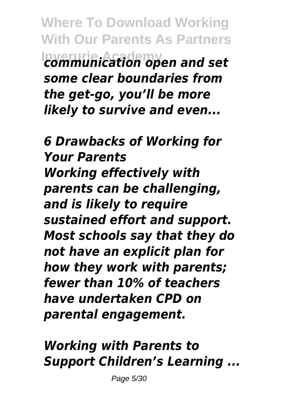**Where To Download Working With Our Parents As Partners Inverurie Academy** *communication open and set some clear boundaries from the get-go, you'll be more likely to survive and even...*

*6 Drawbacks of Working for Your Parents Working effectively with parents can be challenging, and is likely to require sustained effort and support. Most schools say that they do not have an explicit plan for how they work with parents; fewer than 10% of teachers have undertaken CPD on parental engagement.*

*Working with Parents to Support Children's Learning ...*

Page 5/30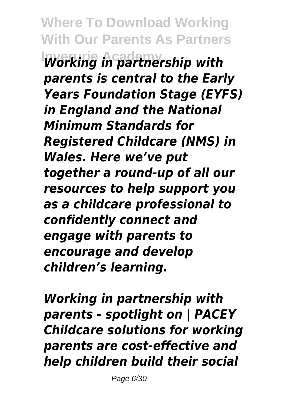**Where To Download Working With Our Parents As Partners Inverurie Academy** *Working in partnership with parents is central to the Early Years Foundation Stage (EYFS) in England and the National Minimum Standards for Registered Childcare (NMS) in Wales. Here we've put together a round-up of all our resources to help support you as a childcare professional to confidently connect and engage with parents to encourage and develop children's learning.*

*Working in partnership with parents - spotlight on | PACEY Childcare solutions for working parents are cost-effective and help children build their social*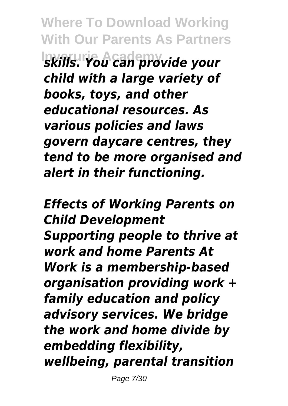**Where To Download Working With Our Parents As Partners Inverurie Academy** *skills. You can provide your child with a large variety of books, toys, and other educational resources. As various policies and laws govern daycare centres, they tend to be more organised and alert in their functioning.*

*Effects of Working Parents on Child Development Supporting people to thrive at work and home Parents At Work is a membership-based organisation providing work + family education and policy advisory services. We bridge the work and home divide by embedding flexibility, wellbeing, parental transition*

Page 7/30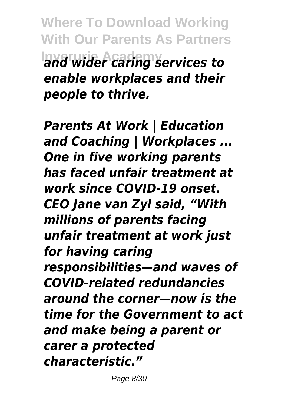**Where To Download Working With Our Parents As Partners Inverurie Academy** *and wider caring services to enable workplaces and their people to thrive.*

*Parents At Work | Education and Coaching | Workplaces ... One in five working parents has faced unfair treatment at work since COVID-19 onset. CEO Jane van Zyl said, "With millions of parents facing unfair treatment at work just for having caring responsibilities—and waves of COVID-related redundancies around the corner—now is the time for the Government to act and make being a parent or carer a protected characteristic."*

Page 8/30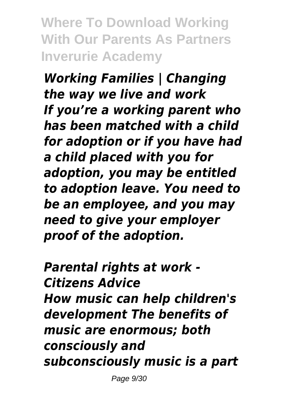**Where To Download Working With Our Parents As Partners Inverurie Academy**

*Working Families | Changing the way we live and work If you're a working parent who has been matched with a child for adoption or if you have had a child placed with you for adoption, you may be entitled to adoption leave. You need to be an employee, and you may need to give your employer proof of the adoption.*

*Parental rights at work - Citizens Advice How music can help children's development The benefits of music are enormous; both consciously and subconsciously music is a part*

Page 9/30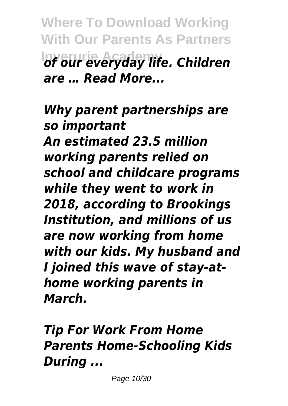**Where To Download Working With Our Parents As Partners Inverurie Academy** *of our everyday life. Children are … Read More...*

*Why parent partnerships are so important An estimated 23.5 million working parents relied on school and childcare programs while they went to work in 2018, according to Brookings Institution, and millions of us are now working from home with our kids. My husband and I joined this wave of stay-athome working parents in March.*

*Tip For Work From Home Parents Home-Schooling Kids During ...*

Page 10/30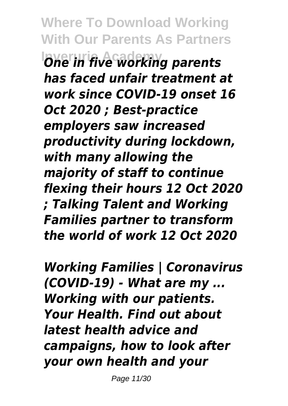**Where To Download Working With Our Parents As Partners Inverurie Academy** *One in five working parents has faced unfair treatment at work since COVID-19 onset 16 Oct 2020 ; Best-practice employers saw increased productivity during lockdown, with many allowing the majority of staff to continue flexing their hours 12 Oct 2020 ; Talking Talent and Working Families partner to transform the world of work 12 Oct 2020*

*Working Families | Coronavirus (COVID-19) - What are my ... Working with our patients. Your Health. Find out about latest health advice and campaigns, how to look after your own health and your*

Page 11/30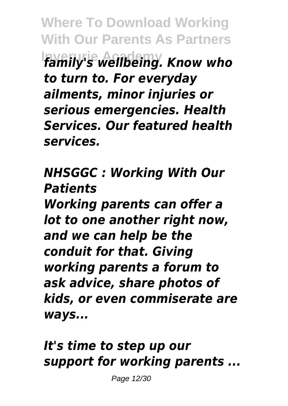**Where To Download Working With Our Parents As Partners Inverurie Academy** *family's wellbeing. Know who to turn to. For everyday ailments, minor injuries or serious emergencies. Health Services. Our featured health services.*

*NHSGGC : Working With Our Patients Working parents can offer a lot to one another right now, and we can help be the conduit for that. Giving working parents a forum to ask advice, share photos of kids, or even commiserate are ways...*

*It's time to step up our support for working parents ...*

Page 12/30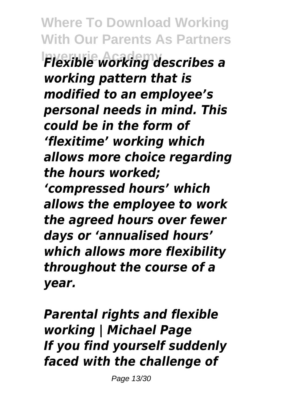**Where To Download Working With Our Parents As Partners Inverurie Academy** *Flexible working describes a working pattern that is modified to an employee's personal needs in mind. This could be in the form of 'flexitime' working which allows more choice regarding the hours worked; 'compressed hours' which allows the employee to work the agreed hours over fewer days or 'annualised hours' which allows more flexibility throughout the course of a year.*

*Parental rights and flexible working | Michael Page If you find yourself suddenly faced with the challenge of*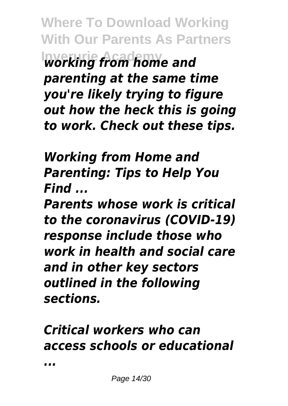**Where To Download Working With Our Parents As Partners Inverurie Academy** *working from home and parenting at the same time you're likely trying to figure out how the heck this is going to work. Check out these tips.*

*Working from Home and Parenting: Tips to Help You Find ...*

*Parents whose work is critical to the coronavirus (COVID-19) response include those who work in health and social care and in other key sectors outlined in the following sections.*

## *Critical workers who can access schools or educational*

*...*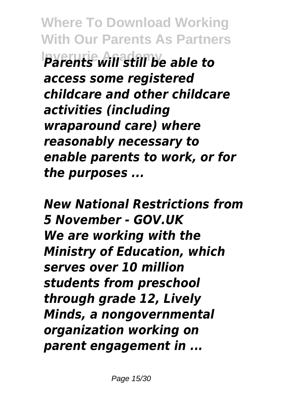**Where To Download Working With Our Parents As Partners Inverurie Academy** *Parents will still be able to access some registered childcare and other childcare activities (including wraparound care) where reasonably necessary to enable parents to work, or for the purposes ...*

*New National Restrictions from 5 November - GOV.UK We are working with the Ministry of Education, which serves over 10 million students from preschool through grade 12, Lively Minds, a nongovernmental organization working on parent engagement in ...*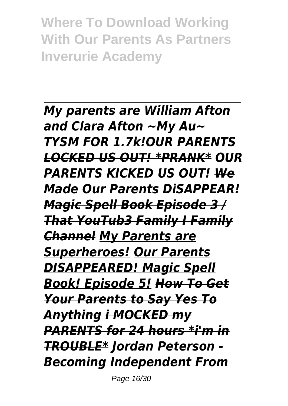**Where To Download Working With Our Parents As Partners Inverurie Academy**

*My parents are William Afton and Clara Afton ~My Au~ TYSM FOR 1.7k!OUR PARENTS LOCKED US OUT! \*PRANK\* OUR PARENTS KICKED US OUT! We Made Our Parents DiSAPPEAR! Magic Spell Book Episode 3 / That YouTub3 Family I Family Channel My Parents are Superheroes! Our Parents DISAPPEARED! Magic Spell Book! Episode 5! How To Get Your Parents to Say Yes To Anything i MOCKED my PARENTS for 24 hours \*i'm in TROUBLE\* Jordan Peterson - Becoming Independent From*

Page 16/30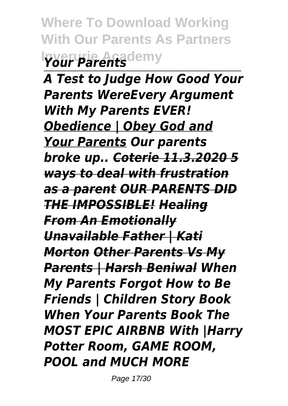**Where To Download Working With Our Parents As Partners Inverurie Academy** *Your Parents*

*A Test to Judge How Good Your Parents WereEvery Argument With My Parents EVER! Obedience | Obey God and Your Parents Our parents broke up.. Coterie 11.3.2020 5 ways to deal with frustration as a parent OUR PARENTS DID THE IMPOSSIBLE! Healing From An Emotionally Unavailable Father | Kati Morton Other Parents Vs My Parents | Harsh Beniwal When My Parents Forgot How to Be Friends | Children Story Book When Your Parents Book The MOST EPIC AIRBNB With |Harry Potter Room, GAME ROOM, POOL and MUCH MORE*

Page 17/30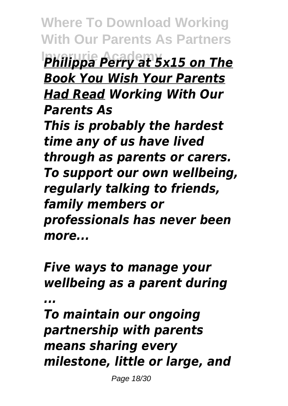**Where To Download Working With Our Parents As Partners Inverurie Academy** *Philippa Perry at 5x15 on The Book You Wish Your Parents Had Read Working With Our Parents As This is probably the hardest time any of us have lived through as parents or carers. To support our own wellbeing, regularly talking to friends, family members or professionals has never been more...*

*Five ways to manage your wellbeing as a parent during ...*

*To maintain our ongoing partnership with parents means sharing every milestone, little or large, and*

Page 18/30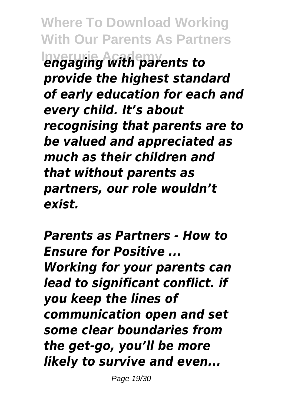**Where To Download Working With Our Parents As Partners Inverurie Academy** *engaging with parents to provide the highest standard of early education for each and every child. It's about recognising that parents are to be valued and appreciated as much as their children and that without parents as partners, our role wouldn't exist.*

*Parents as Partners - How to Ensure for Positive ... Working for your parents can lead to significant conflict. if you keep the lines of communication open and set some clear boundaries from the get-go, you'll be more likely to survive and even...*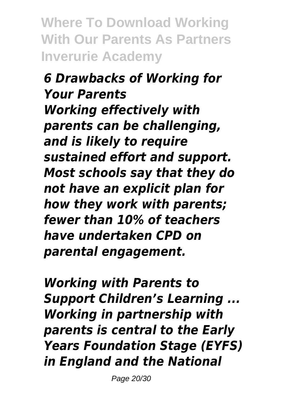**Where To Download Working With Our Parents As Partners Inverurie Academy**

*6 Drawbacks of Working for Your Parents Working effectively with parents can be challenging, and is likely to require sustained effort and support. Most schools say that they do not have an explicit plan for how they work with parents; fewer than 10% of teachers have undertaken CPD on parental engagement.*

*Working with Parents to Support Children's Learning ... Working in partnership with parents is central to the Early Years Foundation Stage (EYFS) in England and the National*

Page 20/30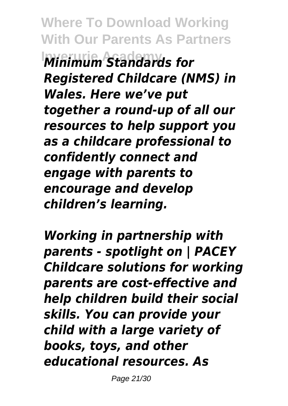**Where To Download Working With Our Parents As Partners Inverurie Academy** *Minimum Standards for Registered Childcare (NMS) in Wales. Here we've put together a round-up of all our resources to help support you as a childcare professional to confidently connect and engage with parents to encourage and develop children's learning.*

*Working in partnership with parents - spotlight on | PACEY Childcare solutions for working parents are cost-effective and help children build their social skills. You can provide your child with a large variety of books, toys, and other educational resources. As*

Page 21/30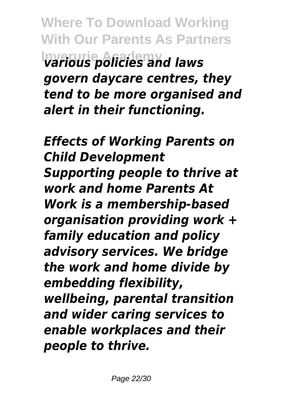**Where To Download Working With Our Parents As Partners Inverurie Academy** *various policies and laws govern daycare centres, they tend to be more organised and alert in their functioning.*

*Effects of Working Parents on Child Development Supporting people to thrive at work and home Parents At Work is a membership-based organisation providing work + family education and policy advisory services. We bridge the work and home divide by embedding flexibility, wellbeing, parental transition and wider caring services to enable workplaces and their people to thrive.*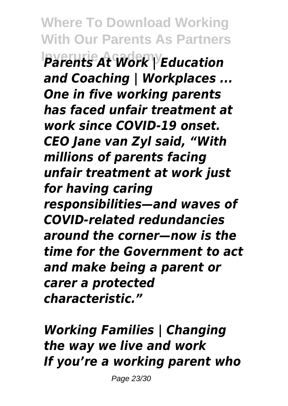**Where To Download Working With Our Parents As Partners Inverurie Academy** *Parents At Work | Education and Coaching | Workplaces ... One in five working parents has faced unfair treatment at work since COVID-19 onset. CEO Jane van Zyl said, "With millions of parents facing unfair treatment at work just for having caring responsibilities—and waves of COVID-related redundancies around the corner—now is the time for the Government to act and make being a parent or carer a protected characteristic."*

*Working Families | Changing the way we live and work If you're a working parent who*

Page 23/30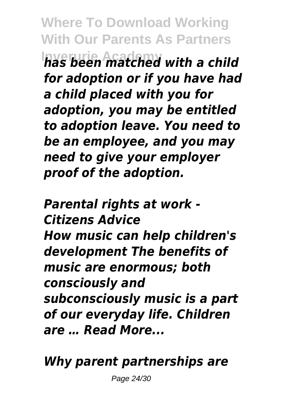**Where To Download Working With Our Parents As Partners Inverurie Academy** *has been matched with a child for adoption or if you have had a child placed with you for adoption, you may be entitled to adoption leave. You need to be an employee, and you may need to give your employer proof of the adoption.*

*Parental rights at work - Citizens Advice How music can help children's development The benefits of music are enormous; both consciously and subconsciously music is a part of our everyday life. Children are … Read More...*

*Why parent partnerships are*

Page 24/30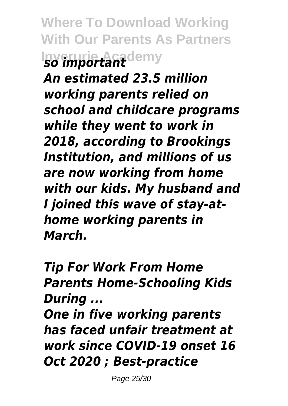**Where To Download Working With Our Parents As Partners Inverurie Academy** *so important*

*An estimated 23.5 million working parents relied on school and childcare programs while they went to work in 2018, according to Brookings Institution, and millions of us are now working from home with our kids. My husband and I joined this wave of stay-athome working parents in March.*

*Tip For Work From Home Parents Home-Schooling Kids During ...*

*One in five working parents has faced unfair treatment at work since COVID-19 onset 16 Oct 2020 ; Best-practice*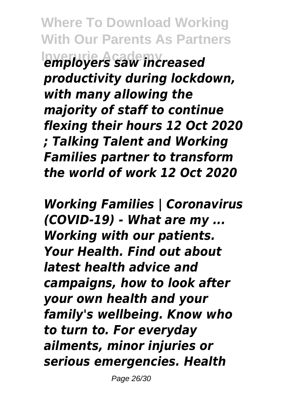**Where To Download Working With Our Parents As Partners Inverurie Academy** *employers saw increased productivity during lockdown, with many allowing the majority of staff to continue flexing their hours 12 Oct 2020 ; Talking Talent and Working Families partner to transform the world of work 12 Oct 2020*

*Working Families | Coronavirus (COVID-19) - What are my ... Working with our patients. Your Health. Find out about latest health advice and campaigns, how to look after your own health and your family's wellbeing. Know who to turn to. For everyday ailments, minor injuries or serious emergencies. Health*

Page 26/30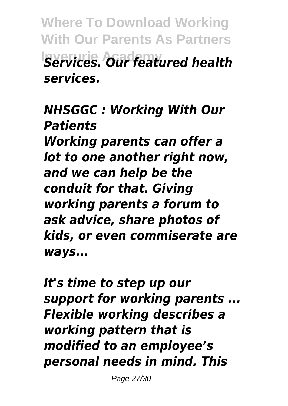**Where To Download Working With Our Parents As Partners Inverurie Academy** *Services. Our featured health services.*

*NHSGGC : Working With Our Patients Working parents can offer a lot to one another right now, and we can help be the conduit for that. Giving working parents a forum to ask advice, share photos of kids, or even commiserate are ways...*

*It's time to step up our support for working parents ... Flexible working describes a working pattern that is modified to an employee's personal needs in mind. This*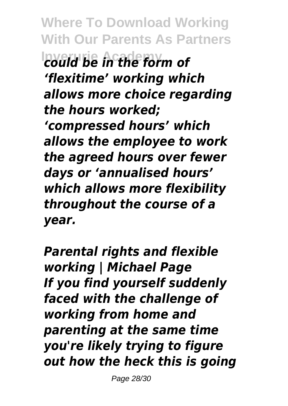**Where To Download Working With Our Parents As Partners Inverurie Academy** *could be in the form of 'flexitime' working which allows more choice regarding the hours worked; 'compressed hours' which allows the employee to work the agreed hours over fewer days or 'annualised hours' which allows more flexibility throughout the course of a year.*

*Parental rights and flexible working | Michael Page If you find yourself suddenly faced with the challenge of working from home and parenting at the same time you're likely trying to figure out how the heck this is going*

Page 28/30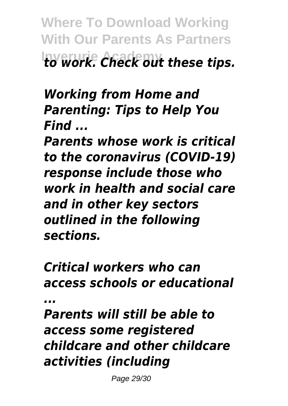**Where To Download Working With Our Parents As Partners Inverurie Academy** *to work. Check out these tips.*

*Working from Home and Parenting: Tips to Help You Find ...*

*Parents whose work is critical to the coronavirus (COVID-19) response include those who work in health and social care and in other key sectors outlined in the following sections.*

*Critical workers who can access schools or educational ...*

*Parents will still be able to access some registered childcare and other childcare activities (including*

Page 29/30